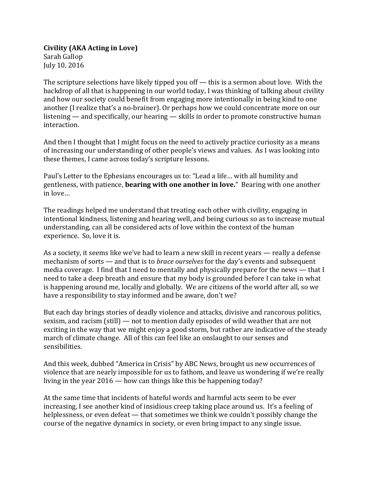**Civility (AKA Acting in Love)** Sarah Gallop July 10, 2016

The scripture selections have likely tipped you off — this is a sermon about love. With the backdrop of all that is happening in our world today, I was thinking of talking about civility and how our society could benefit from engaging more intentionally in being kind to one another (I realize that's a no-brainer). Or perhaps how we could concentrate more on our listening — and specifically, our hearing — skills in order to promote constructive human interaction.

And then I thought that I might focus on the need to actively practice curiosity as a means of increasing our understanding of other people's views and values. As I was looking into these themes, I came across today's scripture lessons.

Paul's Letter to the Ephesians encourages us to: "Lead a life… with all humility and gentleness, with patience, **bearing with one another in love.**" Bearing with one another in love…

The readings helped me understand that treating each other with civility, engaging in intentional kindness, listening and hearing well, and being curious so as to increase mutual understanding, can all be considered acts of love within the context of the human experience. So, love it is.

As a society, it seems like we've had to learn a new skill in recent years — really a defense mechanism of sorts — and that is to *brace ourselves* for the day's events and subsequent media coverage. I find that I need to mentally and physically prepare for the news — that I need to take a deep breath and ensure that my body is grounded before I can take in what is happening around me, locally and globally. We are citizens of the world after all, so we have a responsibility to stay informed and be aware, don't we?

But each day brings stories of deadly violence and attacks, divisive and rancorous politics, sexism, and racism (still) — not to mention daily episodes of wild weather that are not exciting in the way that we might enjoy a good storm, but rather are indicative of the steady march of climate change. All of this can feel like an onslaught to our senses and sensibilities.

And this week, dubbed "America in Crisis" by ABC News, brought us new occurrences of violence that are nearly impossible for us to fathom, and leave us wondering if we're really living in the year 2016 — how can things like this be happening today?

At the same time that incidents of hateful words and harmful acts seem to be ever increasing, I see another kind of insidious creep taking place around us. It's a feeling of helplessness, or even defeat — that sometimes we think we couldn't possibly change the course of the negative dynamics in society, or even bring impact to any single issue.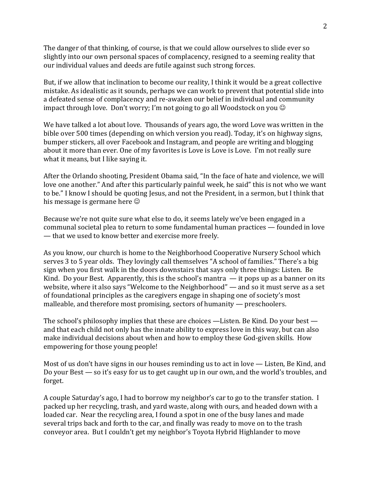The danger of that thinking, of course, is that we could allow ourselves to slide ever so slightly into our own personal spaces of complacency, resigned to a seeming reality that our individual values and deeds are futile against such strong forces.

But, if we allow that inclination to become our reality, I think it would be a great collective mistake. As idealistic as it sounds, perhaps we can work to prevent that potential slide into a defeated sense of complacency and re-awaken our belief in individual and community impact through love. Don't worry; I'm not going to go all Woodstock on you  $\odot$ 

We have talked a lot about love. Thousands of years ago, the word Love was written in the bible over 500 times (depending on which version you read). Today, it's on highway signs, bumper stickers, all over Facebook and Instagram, and people are writing and blogging about it more than ever. One of my favorites is Love is Love is Love. I'm not really sure what it means, but I like saying it.

After the Orlando shooting, President Obama said, "In the face of hate and violence, we will love one another." And after this particularly painful week, he said" this is not who we want to be." I know I should be quoting Jesus, and not the President, in a sermon, but I think that his message is germane here

Because we're not quite sure what else to do, it seems lately we've been engaged in a communal societal plea to return to some fundamental human practices — founded in love — that we used to know better and exercise more freely.

As you know, our church is home to the Neighborhood Cooperative Nursery School which serves 3 to 5 year olds. They lovingly call themselves "A school of families." There's a big sign when you first walk in the doors downstairs that says only three things: Listen. Be Kind. Do your Best. Apparently, this is the school's mantra  $-$  it pops up as a banner on its website, where it also says "Welcome to the Neighborhood" — and so it must serve as a set of foundational principles as the caregivers engage in shaping one of society's most malleable, and therefore most promising, sectors of humanity — preschoolers.

The school's philosophy implies that these are choices —Listen. Be Kind. Do your best and that each child not only has the innate ability to express love in this way, but can also make individual decisions about when and how to employ these God-given skills. How empowering for those young people!

Most of us don't have signs in our houses reminding us to act in love — Listen, Be Kind, and Do your Best — so it's easy for us to get caught up in our own, and the world's troubles, and forget.

A couple Saturday's ago, I had to borrow my neighbor's car to go to the transfer station. I packed up her recycling, trash, and yard waste, along with ours, and headed down with a loaded car. Near the recycling area, I found a spot in one of the busy lanes and made several trips back and forth to the car, and finally was ready to move on to the trash conveyor area. But I couldn't get my neighbor's Toyota Hybrid Highlander to move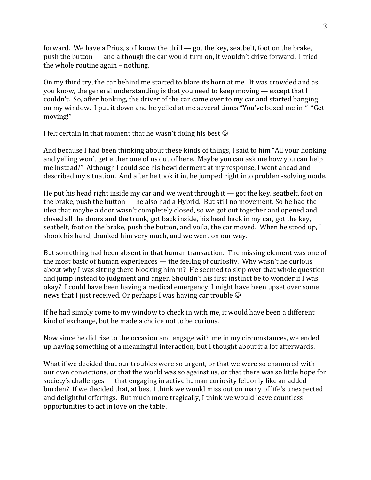forward. We have a Prius, so I know the drill  $-$  got the key, seatbelt, foot on the brake, push the button — and although the car would turn on, it wouldn't drive forward. I tried the whole routine again – nothing.

On my third try, the car behind me started to blare its horn at me. It was crowded and as you know, the general understanding is that you need to keep moving — except that I couldn't. So, after honking, the driver of the car came over to my car and started banging on my window. I put it down and he yelled at me several times "You've boxed me in!" "Get moving!"

I felt certain in that moment that he wasn't doing his best  $\odot$ 

And because I had been thinking about these kinds of things, I said to him "All your honking and yelling won't get either one of us out of here. Maybe you can ask me how you can help me instead?" Although I could see his bewilderment at my response, I went ahead and described my situation. And after he took it in, he jumped right into problem-solving mode.

He put his head right inside my car and we went through it  $-$  got the key, seatbelt, foot on the brake, push the button — he also had a Hybrid. But still no movement. So he had the idea that maybe a door wasn't completely closed, so we got out together and opened and closed all the doors and the trunk, got back inside, his head back in my car, got the key, seatbelt, foot on the brake, push the button, and voila, the car moved. When he stood up, I shook his hand, thanked him very much, and we went on our way.

But something had been absent in that human transaction. The missing element was one of the most basic of human experiences — the feeling of curiosity. Why wasn't he curious about why I was sitting there blocking him in? He seemed to skip over that whole question and jump instead to judgment and anger. Shouldn't his first instinct be to wonder if I was okay? I could have been having a medical emergency. I might have been upset over some news that I just received. Or perhaps I was having car trouble  $\odot$ 

If he had simply come to my window to check in with me, it would have been a different kind of exchange, but he made a choice not to be curious.

Now since he did rise to the occasion and engage with me in my circumstances, we ended up having something of a meaningful interaction, but I thought about it a lot afterwards.

What if we decided that our troubles were so urgent, or that we were so enamored with our own convictions, or that the world was so against us, or that there was so little hope for society's challenges — that engaging in active human curiosity felt only like an added burden? If we decided that, at best I think we would miss out on many of life's unexpected and delightful offerings. But much more tragically, I think we would leave countless opportunities to act in love on the table.